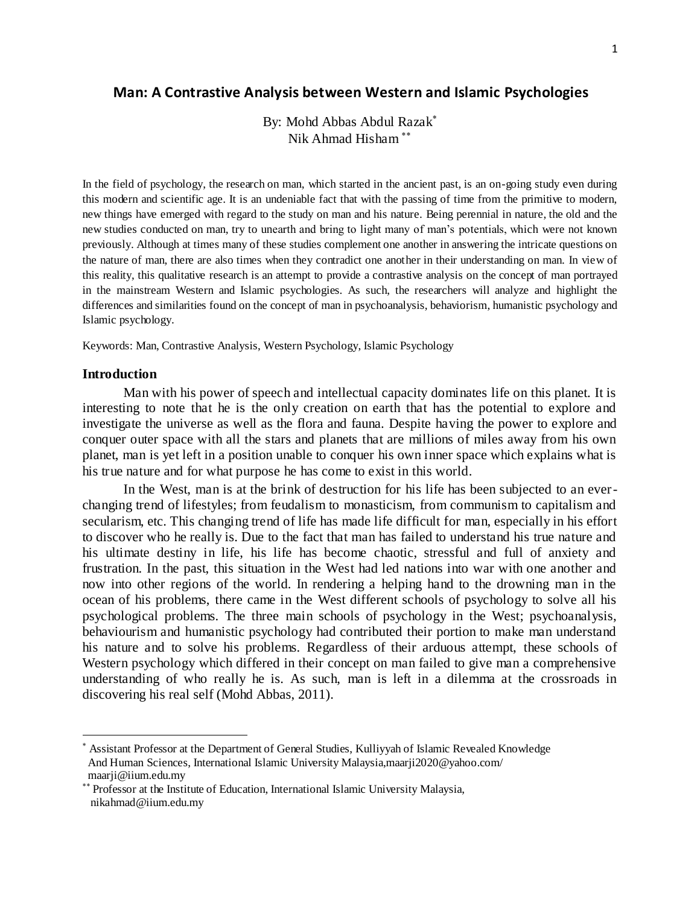## **Man: A Contrastive Analysis between Western and Islamic Psychologies**

By: Mohd Abbas Abdul Razak Nik Ahmad Hisham

In the field of psychology, the research on man, which started in the ancient past, is an on-going study even during this modern and scientific age. It is an undeniable fact that with the passing of time from the primitive to modern, new things have emerged with regard to the study on man and his nature. Being perennial in nature, the old and the new studies conducted on man, try to unearth and bring to light many of man's potentials, which were not known previously. Although at times many of these studies complement one another in answering the intricate questions on the nature of man, there are also times when they contradict one another in their understanding on man. In view of this reality, this qualitative research is an attempt to provide a contrastive analysis on the concept of man portrayed in the mainstream Western and Islamic psychologies. As such, the researchers will analyze and highlight the differences and similarities found on the concept of man in psychoanalysis, behaviorism, humanistic psychology and Islamic psychology.

Keywords: Man, Contrastive Analysis, Western Psychology, Islamic Psychology

### **Introduction**

 $\overline{a}$ 

Man with his power of speech and intellectual capacity dominates life on this planet. It is interesting to note that he is the only creation on earth that has the potential to explore and investigate the universe as well as the flora and fauna. Despite having the power to explore and conquer outer space with all the stars and planets that are millions of miles away from his own planet, man is yet left in a position unable to conquer his own inner space which explains what is his true nature and for what purpose he has come to exist in this world.

In the West, man is at the brink of destruction for his life has been subjected to an everchanging trend of lifestyles; from feudalism to monasticism, from communism to capitalism and secularism, etc. This changing trend of life has made life difficult for man, especially in his effort to discover who he really is. Due to the fact that man has failed to understand his true nature and his ultimate destiny in life, his life has become chaotic, stressful and full of anxiety and frustration. In the past, this situation in the West had led nations into war with one another and now into other regions of the world. In rendering a helping hand to the drowning man in the ocean of his problems, there came in the West different schools of psychology to solve all his psychological problems. The three main schools of psychology in the West; psychoanalysis, behaviourism and humanistic psychology had contributed their portion to make man understand his nature and to solve his problems. Regardless of their arduous attempt, these schools of Western psychology which differed in their concept on man failed to give man a comprehensive understanding of who really he is. As such, man is left in a dilemma at the crossroads in discovering his real self (Mohd Abbas, 2011).

Assistant Professor at the Department of General Studies, Kulliyyah of Islamic Revealed Knowledge And Human Sciences, International Islamic University Malaysia,maarji2020@yahoo.com/ maarji@iium.edu.my

<sup>\*\*</sup> Professor at the Institute of Education, International Islamic University Malaysia, nikahmad@iium.edu.my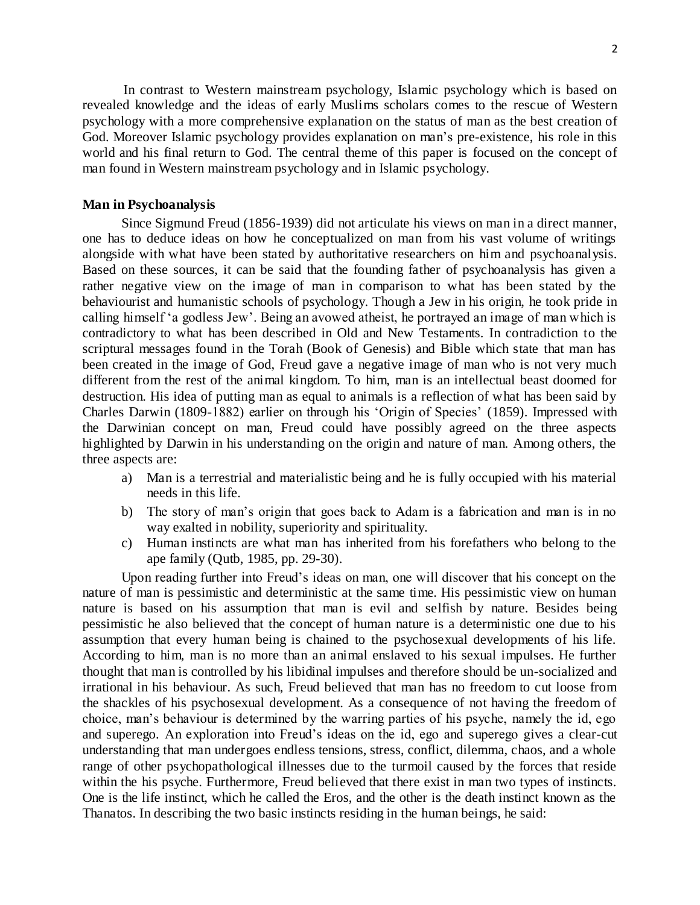In contrast to Western mainstream psychology, Islamic psychology which is based on revealed knowledge and the ideas of early Muslims scholars comes to the rescue of Western psychology with a more comprehensive explanation on the status of man as the best creation of God. Moreover Islamic psychology provides explanation on man's pre-existence, his role in this world and his final return to God. The central theme of this paper is focused on the concept of man found in Western mainstream psychology and in Islamic psychology.

#### **Man in Psychoanalysis**

Since Sigmund Freud (1856-1939) did not articulate his views on man in a direct manner, one has to deduce ideas on how he conceptualized on man from his vast volume of writings alongside with what have been stated by authoritative researchers on him and psychoanalysis. Based on these sources, it can be said that the founding father of psychoanalysis has given a rather negative view on the image of man in comparison to what has been stated by the behaviourist and humanistic schools of psychology. Though a Jew in his origin, he took pride in calling himself 'a godless Jew'. Being an avowed atheist, he portrayed an image of man which is contradictory to what has been described in Old and New Testaments. In contradiction to the scriptural messages found in the Torah (Book of Genesis) and Bible which state that man has been created in the image of God, Freud gave a negative image of man who is not very much different from the rest of the animal kingdom. To him, man is an intellectual beast doomed for destruction. His idea of putting man as equal to animals is a reflection of what has been said by Charles Darwin (1809-1882) earlier on through his 'Origin of Species' (1859). Impressed with the Darwinian concept on man, Freud could have possibly agreed on the three aspects highlighted by Darwin in his understanding on the origin and nature of man. Among others, the three aspects are:

- a) Man is a terrestrial and materialistic being and he is fully occupied with his material needs in this life.
- b) The story of man's origin that goes back to Adam is a fabrication and man is in no way exalted in nobility, superiority and spirituality.
- c) Human instincts are what man has inherited from his forefathers who belong to the ape family (Qutb, 1985, pp. 29-30).

Upon reading further into Freud's ideas on man, one will discover that his concept on the nature of man is pessimistic and deterministic at the same time. His pessimistic view on human nature is based on his assumption that man is evil and selfish by nature. Besides being pessimistic he also believed that the concept of human nature is a deterministic one due to his assumption that every human being is chained to the psychosexual developments of his life. According to him, man is no more than an animal enslaved to his sexual impulses. He further thought that man is controlled by his libidinal impulses and therefore should be un-socialized and irrational in his behaviour. As such, Freud believed that man has no freedom to cut loose from the shackles of his psychosexual development. As a consequence of not having the freedom of choice, man's behaviour is determined by the warring parties of his psyche, namely the id, ego and superego. An exploration into Freud's ideas on the id, ego and superego gives a clear-cut understanding that man undergoes endless tensions, stress, conflict, dilemma, chaos, and a whole range of other psychopathological illnesses due to the turmoil caused by the forces that reside within the his psyche. Furthermore, Freud believed that there exist in man two types of instincts. One is the life instinct, which he called the Eros, and the other is the death instinct known as the Thanatos. In describing the two basic instincts residing in the human beings, he said: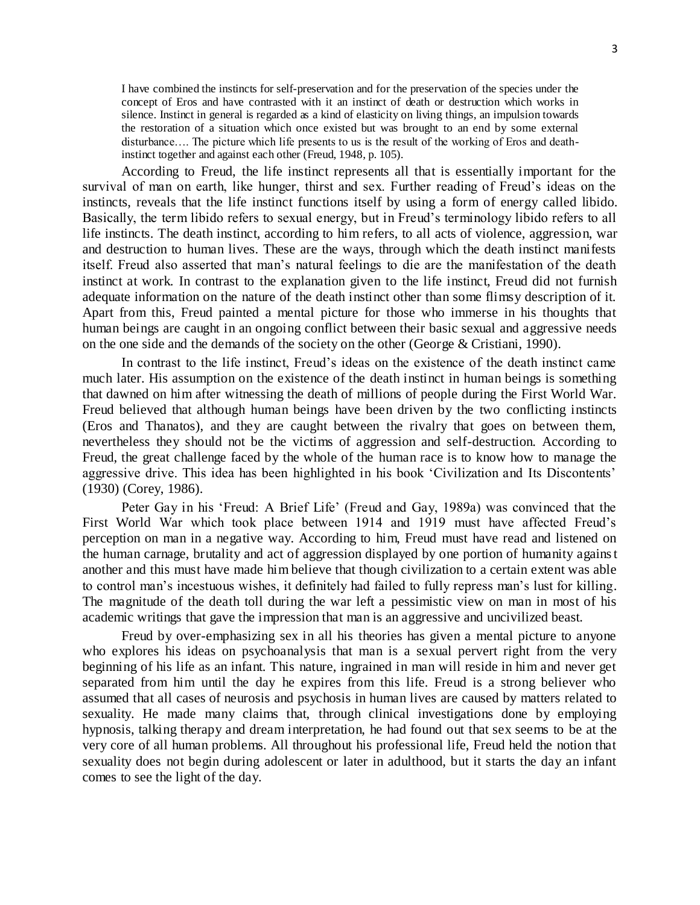I have combined the instincts for self-preservation and for the preservation of the species under the concept of Eros and have contrasted with it an instinct of death or destruction which works in silence. Instinct in general is regarded as a kind of elasticity on living things, an impulsion towards the restoration of a situation which once existed but was brought to an end by some external disturbance…. The picture which life presents to us is the result of the working of Eros and deathinstinct together and against each other (Freud, 1948, p. 105).

According to Freud, the life instinct represents all that is essentially important for the survival of man on earth, like hunger, thirst and sex. Further reading of Freud's ideas on the instincts, reveals that the life instinct functions itself by using a form of energy called libido. Basically, the term libido refers to sexual energy, but in Freud's terminology libido refers to all life instincts. The death instinct, according to him refers, to all acts of violence, aggression, war and destruction to human lives. These are the ways, through which the death instinct manifests itself. Freud also asserted that man's natural feelings to die are the manifestation of the death instinct at work. In contrast to the explanation given to the life instinct, Freud did not furnish adequate information on the nature of the death instinct other than some flimsy description of it. Apart from this, Freud painted a mental picture for those who immerse in his thoughts that human beings are caught in an ongoing conflict between their basic sexual and aggressive needs on the one side and the demands of the society on the other (George & Cristiani, 1990).

In contrast to the life instinct, Freud's ideas on the existence of the death instinct came much later. His assumption on the existence of the death instinct in human beings is something that dawned on him after witnessing the death of millions of people during the First World War. Freud believed that although human beings have been driven by the two conflicting instincts (Eros and Thanatos), and they are caught between the rivalry that goes on between them, nevertheless they should not be the victims of aggression and self-destruction. According to Freud, the great challenge faced by the whole of the human race is to know how to manage the aggressive drive. This idea has been highlighted in his book 'Civilization and Its Discontents' (1930) (Corey, 1986).

Peter Gay in his 'Freud: A Brief Life' (Freud and Gay, 1989a) was convinced that the First World War which took place between 1914 and 1919 must have affected Freud's perception on man in a negative way. According to him, Freud must have read and listened on the human carnage, brutality and act of aggression displayed by one portion of humanity against another and this must have made him believe that though civilization to a certain extent was able to control man's incestuous wishes, it definitely had failed to fully repress man's lust for killing. The magnitude of the death toll during the war left a pessimistic view on man in most of his academic writings that gave the impression that man is an aggressive and uncivilized beast.

Freud by over-emphasizing sex in all his theories has given a mental picture to anyone who explores his ideas on psychoanalysis that man is a sexual pervert right from the very beginning of his life as an infant. This nature, ingrained in man will reside in him and never get separated from him until the day he expires from this life. Freud is a strong believer who assumed that all cases of neurosis and psychosis in human lives are caused by matters related to sexuality. He made many claims that, through clinical investigations done by employing hypnosis, talking therapy and dream interpretation, he had found out that sex seems to be at the very core of all human problems. All throughout his professional life, Freud held the notion that sexuality does not begin during adolescent or later in adulthood, but it starts the day an infant comes to see the light of the day.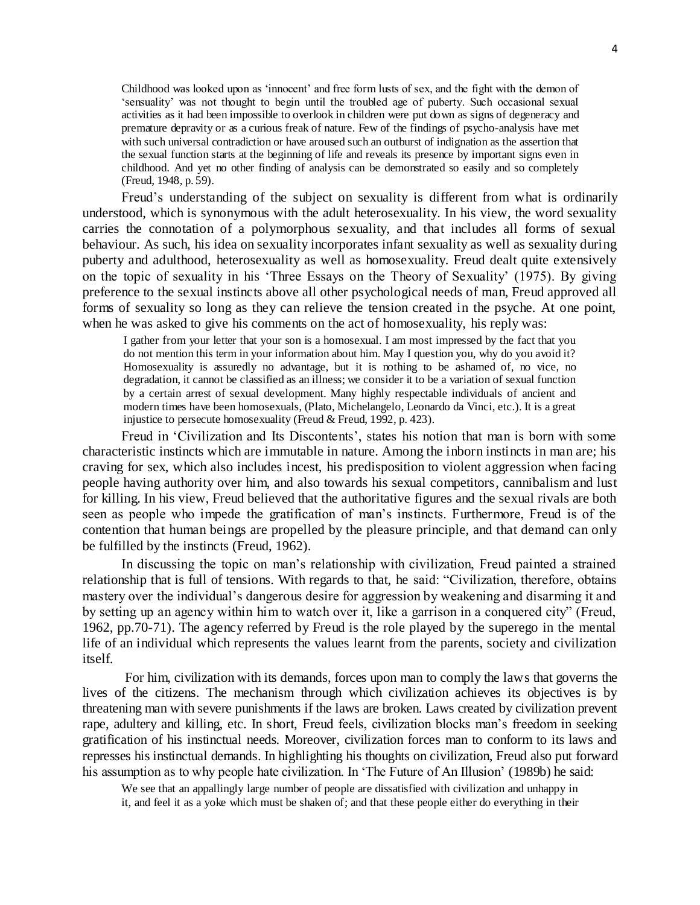Childhood was looked upon as 'innocent' and free form lusts of sex, and the fight with the demon of 'sensuality' was not thought to begin until the troubled age of puberty. Such occasional sexual activities as it had been impossible to overlook in children were put down as signs of degeneracy and premature depravity or as a curious freak of nature. Few of the findings of psycho-analysis have met with such universal contradiction or have aroused such an outburst of indignation as the assertion that the sexual function starts at the beginning of life and reveals its presence by important signs even in childhood. And yet no other finding of analysis can be demonstrated so easily and so completely (Freud, 1948, p. 59).

Freud's understanding of the subject on sexuality is different from what is ordinarily understood, which is synonymous with the adult heterosexuality. In his view, the word sexuality carries the connotation of a polymorphous sexuality, and that includes all forms of sexual behaviour. As such, his idea on sexuality incorporates infant sexuality as well as sexuality during puberty and adulthood, heterosexuality as well as homosexuality. Freud dealt quite extensively on the topic of sexuality in his 'Three Essays on the Theory of Sexuality' (1975). By giving preference to the sexual instincts above all other psychological needs of man, Freud approved all forms of sexuality so long as they can relieve the tension created in the psyche. At one point, when he was asked to give his comments on the act of homosexuality, his reply was:

I gather from your letter that your son is a homosexual. I am most impressed by the fact that you do not mention this term in your information about him. May I question you, why do you avoid it? Homosexuality is assuredly no advantage, but it is nothing to be ashamed of, no vice, no degradation, it cannot be classified as an illness; we consider it to be a variation of sexual function by a certain arrest of sexual development. Many highly respectable individuals of ancient and modern times have been homosexuals, (Plato, Michelangelo, Leonardo da Vinci, etc.). It is a great injustice to persecute homosexuality (Freud & Freud, 1992, p. 423).

Freud in 'Civilization and Its Discontents', states his notion that man is born with some characteristic instincts which are immutable in nature. Among the inborn instincts in man are; his craving for sex, which also includes incest, his predisposition to violent aggression when facing people having authority over him, and also towards his sexual competitors, cannibalism and lust for killing. In his view, Freud believed that the authoritative figures and the sexual rivals are both seen as people who impede the gratification of man's instincts. Furthermore, Freud is of the contention that human beings are propelled by the pleasure principle, and that demand can only be fulfilled by the instincts (Freud, 1962).

In discussing the topic on man's relationship with civilization, Freud painted a strained relationship that is full of tensions. With regards to that, he said: "Civilization, therefore, obtains mastery over the individual's dangerous desire for aggression by weakening and disarming it and by setting up an agency within him to watch over it, like a garrison in a conquered city" (Freud, 1962, pp.70-71). The agency referred by Freud is the role played by the superego in the mental life of an individual which represents the values learnt from the parents, society and civilization itself.

For him, civilization with its demands, forces upon man to comply the laws that governs the lives of the citizens. The mechanism through which civilization achieves its objectives is by threatening man with severe punishments if the laws are broken. Laws created by civilization prevent rape, adultery and killing, etc. In short, Freud feels, civilization blocks man's freedom in seeking gratification of his instinctual needs. Moreover, civilization forces man to conform to its laws and represses his instinctual demands. In highlighting his thoughts on civilization, Freud also put forward his assumption as to why people hate civilization. In 'The Future of An Illusion' (1989b) he said:

We see that an appallingly large number of people are dissatisfied with civilization and unhappy in it, and feel it as a yoke which must be shaken of; and that these people either do everything in their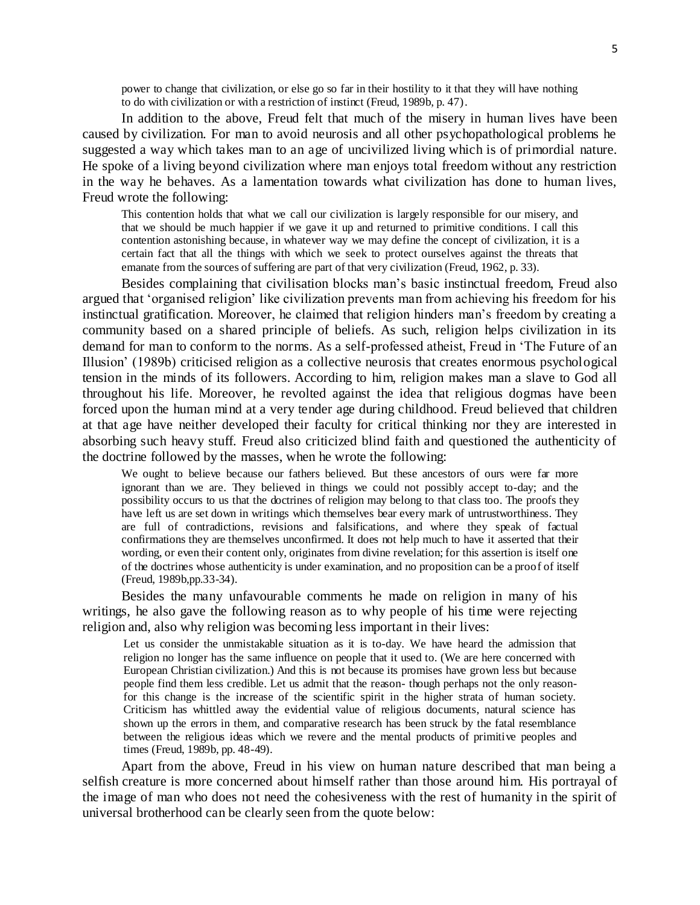power to change that civilization, or else go so far in their hostility to it that they will have nothing to do with civilization or with a restriction of instinct (Freud, 1989b, p. 47).

In addition to the above, Freud felt that much of the misery in human lives have been caused by civilization. For man to avoid neurosis and all other psychopathological problems he suggested a way which takes man to an age of uncivilized living which is of primordial nature. He spoke of a living beyond civilization where man enjoys total freedom without any restriction in the way he behaves. As a lamentation towards what civilization has done to human lives, Freud wrote the following:

This contention holds that what we call our civilization is largely responsible for our misery, and that we should be much happier if we gave it up and returned to primitive conditions. I call this contention astonishing because, in whatever way we may define the concept of civilization, it is a certain fact that all the things with which we seek to protect ourselves against the threats that emanate from the sources of suffering are part of that very civilization (Freud, 1962, p. 33).

Besides complaining that civilisation blocks man's basic instinctual freedom, Freud also argued that 'organised religion' like civilization prevents man from achieving his freedom for his instinctual gratification. Moreover, he claimed that religion hinders man's freedom by creating a community based on a shared principle of beliefs. As such, religion helps civilization in its demand for man to conform to the norms. As a self-professed atheist, Freud in 'The Future of an Illusion' (1989b) criticised religion as a collective neurosis that creates enormous psychological tension in the minds of its followers. According to him, religion makes man a slave to God all throughout his life. Moreover, he revolted against the idea that religious dogmas have been forced upon the human mind at a very tender age during childhood. Freud believed that children at that age have neither developed their faculty for critical thinking nor they are interested in absorbing such heavy stuff. Freud also criticized blind faith and questioned the authenticity of the doctrine followed by the masses, when he wrote the following:

We ought to believe because our fathers believed. But these ancestors of ours were far more ignorant than we are. They believed in things we could not possibly accept to-day; and the possibility occurs to us that the doctrines of religion may belong to that class too. The proofs they have left us are set down in writings which themselves bear every mark of untrustworthiness. They are full of contradictions, revisions and falsifications, and where they speak of factual confirmations they are themselves unconfirmed. It does not help much to have it asserted that their wording, or even their content only, originates from divine revelation; for this assertion is itself one of the doctrines whose authenticity is under examination, and no proposition can be a proof of itself (Freud, 1989b,pp.33-34).

Besides the many unfavourable comments he made on religion in many of his writings, he also gave the following reason as to why people of his time were rejecting religion and, also why religion was becoming less important in their lives:

Let us consider the unmistakable situation as it is to-day. We have heard the admission that religion no longer has the same influence on people that it used to. (We are here concerned with European Christian civilization.) And this is not because its promises have grown less but because people find them less credible. Let us admit that the reason- though perhaps not the only reasonfor this change is the increase of the scientific spirit in the higher strata of human society. Criticism has whittled away the evidential value of religious documents, natural science has shown up the errors in them, and comparative research has been struck by the fatal resemblance between the religious ideas which we revere and the mental products of primitive peoples and times (Freud, 1989b, pp. 48-49).

Apart from the above, Freud in his view on human nature described that man being a selfish creature is more concerned about himself rather than those around him. His portrayal of the image of man who does not need the cohesiveness with the rest of humanity in the spirit of universal brotherhood can be clearly seen from the quote below: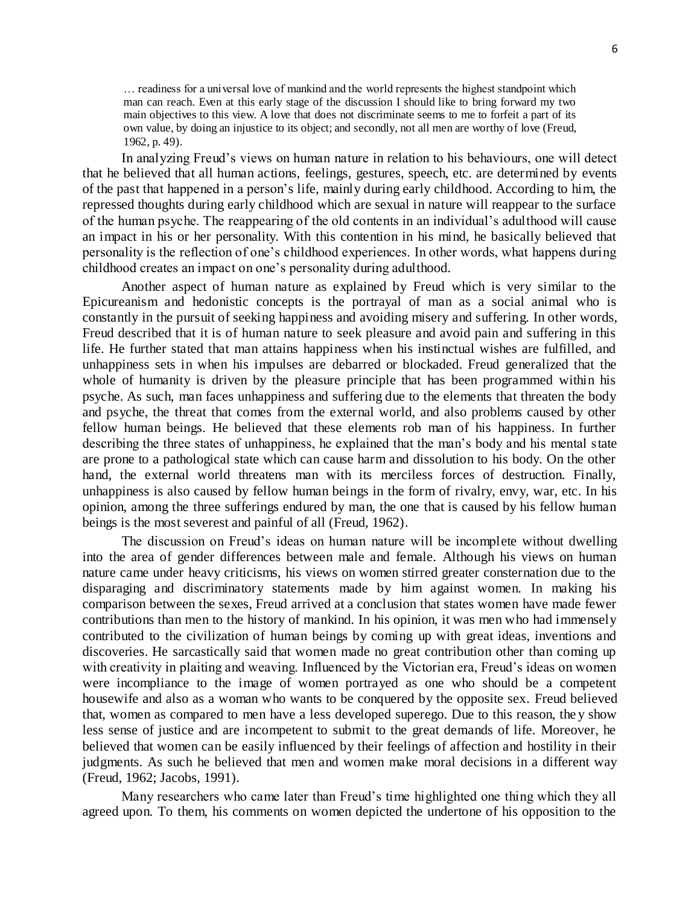… readiness for a universal love of mankind and the world represents the highest standpoint which man can reach. Even at this early stage of the discussion I should like to bring forward my two main objectives to this view. A love that does not discriminate seems to me to forfeit a part of its own value, by doing an injustice to its object; and secondly, not all men are worthy of love (Freud, 1962, p. 49).

In analyzing Freud's views on human nature in relation to his behaviours, one will detect that he believed that all human actions, feelings, gestures, speech, etc. are determined by events of the past that happened in a person's life, mainly during early childhood. According to him, the repressed thoughts during early childhood which are sexual in nature will reappear to the surface of the human psyche. The reappearing of the old contents in an individual's adulthood will cause an impact in his or her personality. With this contention in his mind, he basically believed that personality is the reflection of one's childhood experiences. In other words, what happens during childhood creates an impact on one's personality during adulthood.

Another aspect of human nature as explained by Freud which is very similar to the Epicureanism and hedonistic concepts is the portrayal of man as a social animal who is constantly in the pursuit of seeking happiness and avoiding misery and suffering. In other words, Freud described that it is of human nature to seek pleasure and avoid pain and suffering in this life. He further stated that man attains happiness when his instinctual wishes are fulfilled, and unhappiness sets in when his impulses are debarred or blockaded. Freud generalized that the whole of humanity is driven by the pleasure principle that has been programmed within his psyche. As such, man faces unhappiness and suffering due to the elements that threaten the body and psyche, the threat that comes from the external world, and also problems caused by other fellow human beings. He believed that these elements rob man of his happiness. In further describing the three states of unhappiness, he explained that the man's body and his mental state are prone to a pathological state which can cause harm and dissolution to his body. On the other hand, the external world threatens man with its merciless forces of destruction. Finally, unhappiness is also caused by fellow human beings in the form of rivalry, envy, war, etc. In his opinion, among the three sufferings endured by man, the one that is caused by his fellow human beings is the most severest and painful of all (Freud, 1962).

The discussion on Freud's ideas on human nature will be incomplete without dwelling into the area of gender differences between male and female. Although his views on human nature came under heavy criticisms, his views on women stirred greater consternation due to the disparaging and discriminatory statements made by him against women. In making his comparison between the sexes, Freud arrived at a conclusion that states women have made fewer contributions than men to the history of mankind. In his opinion, it was men who had immensely contributed to the civilization of human beings by coming up with great ideas, inventions and discoveries. He sarcastically said that women made no great contribution other than coming up with creativity in plaiting and weaving. Influenced by the Victorian era, Freud's ideas on women were incompliance to the image of women portrayed as one who should be a competent housewife and also as a woman who wants to be conquered by the opposite sex. Freud believed that, women as compared to men have a less developed superego. Due to this reason, the y show less sense of justice and are incompetent to submit to the great demands of life. Moreover, he believed that women can be easily influenced by their feelings of affection and hostility in their judgments. As such he believed that men and women make moral decisions in a different way (Freud, 1962; Jacobs, 1991).

Many researchers who came later than Freud's time highlighted one thing which they all agreed upon. To them, his comments on women depicted the undertone of his opposition to the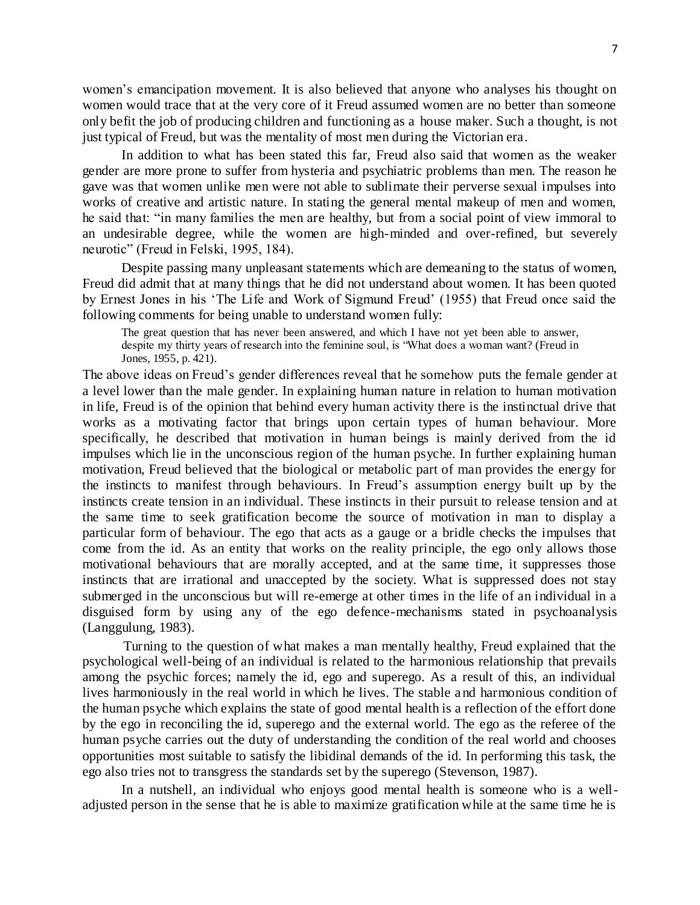women's emancipation movement. It is also believed that anyone who analyses his thought on women would trace that at the very core of it Freud assumed women are no better than someone only befit the job of producing children and functioning as a house maker. Such a thought, is not just typical of Freud, but was the mentality of most men during the Victorian era.

In addition to what has been stated this far, Freud also said that women as the weaker gender are more prone to suffer from hysteria and psychiatric problems than men. The reason he gave was that women unlike men were not able to sublimate their perverse sexual impulses into works of creative and artistic nature. In stating the general mental makeup of men and women, he said that: "in many families the men are healthy, but from a social point of view immoral to an undesirable degree, while the women are high-minded and over-refined, but severely neurotic" (Freud in Felski, 1995, 184).

Despite passing many unpleasant statements which are demeaning to the status of women, Freud did admit that at many things that he did not understand about women. It has been quoted by Ernest Jones in his 'The Life and Work of Sigmund Freud' (1955) that Freud once said the following comments for being unable to understand women fully:

The great question that has never been answered, and which I have not yet been able to answer, despite my thirty years of research into the feminine soul, is "What does a woman want? (Freud in Jones, 1955, p. 421).

The above ideas on Freud's gender differences reveal that he somehow puts the female gender at a level lower than the male gender. In explaining human nature in relation to human motivation in life, Freud is of the opinion that behind every human activity there is the instinctual drive that works as a motivating factor that brings upon certain types of human behaviour. More specifically, he described that motivation in human beings is mainly derived from the id impulses which lie in the unconscious region of the human psyche. In further explaining human motivation, Freud believed that the biological or metabolic part of man provides the energy for the instincts to manifest through behaviours. In Freud's assumption energy built up by the instincts create tension in an individual. These instincts in their pursuit to release tension and at the same time to seek gratification become the source of motivation in man to display a particular form of behaviour. The ego that acts as a gauge or a bridle checks the impulses that come from the id. As an entity that works on the reality principle, the ego only allows those motivational behaviours that are morally accepted, and at the same time, it suppresses those instincts that are irrational and unaccepted by the society. What is suppressed does not stay submerged in the unconscious but will re-emerge at other times in the life of an individual in a disguised form by using any of the ego defence-mechanisms stated in psychoanalysis (Langgulung, 1983).

Turning to the question of what makes a man mentally healthy, Freud explained that the psychological well-being of an individual is related to the harmonious relationship that prevails among the psychic forces; namely the id, ego and superego. As a result of this, an individual lives harmoniously in the real world in which he lives. The stable a nd harmonious condition of the human psyche which explains the state of good mental health is a reflection of the effort done by the ego in reconciling the id, superego and the external world. The ego as the referee of the human psyche carries out the duty of understanding the condition of the real world and chooses opportunities most suitable to satisfy the libidinal demands of the id. In performing this task, the ego also tries not to transgress the standards set by the superego (Stevenson, 1987).

In a nutshell, an individual who enjoys good mental health is someone who is a welladjusted person in the sense that he is able to maximize gratification while at the same time he is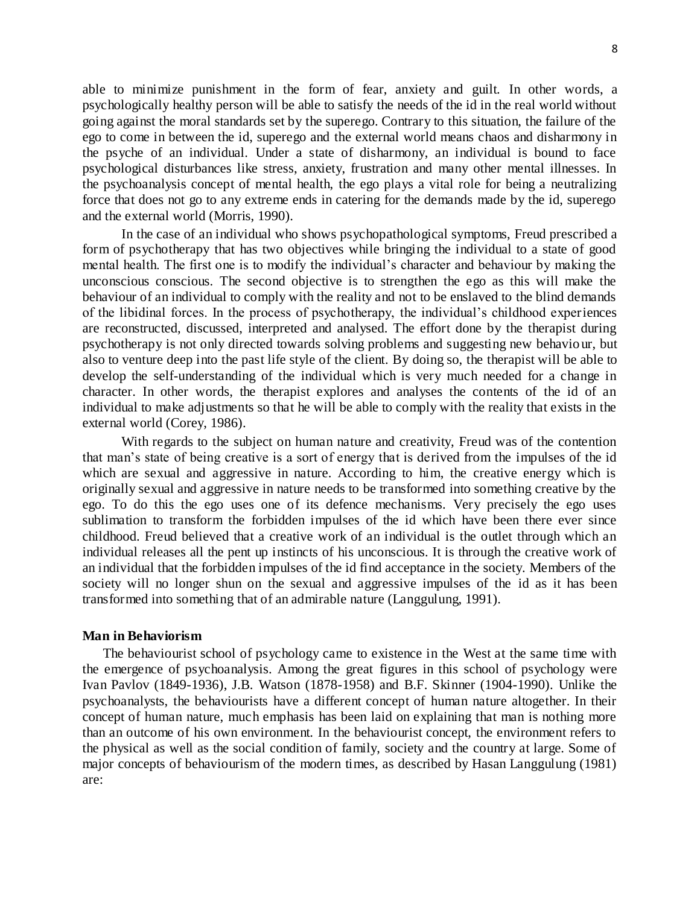able to minimize punishment in the form of fear, anxiety and guilt. In other words, a psychologically healthy person will be able to satisfy the needs of the id in the real world without going against the moral standards set by the superego. Contrary to this situation, the failure of the ego to come in between the id, superego and the external world means chaos and disharmony in the psyche of an individual. Under a state of disharmony, an individual is bound to face psychological disturbances like stress, anxiety, frustration and many other mental illnesses. In the psychoanalysis concept of mental health, the ego plays a vital role for being a neutralizing force that does not go to any extreme ends in catering for the demands made by the id, superego and the external world (Morris, 1990).

In the case of an individual who shows psychopathological symptoms, Freud prescribed a form of psychotherapy that has two objectives while bringing the individual to a state of good mental health. The first one is to modify the individual's character and behaviour by making the unconscious conscious. The second objective is to strengthen the ego as this will make the behaviour of an individual to comply with the reality and not to be enslaved to the blind demands of the libidinal forces. In the process of psychotherapy, the individual's childhood experiences are reconstructed, discussed, interpreted and analysed. The effort done by the therapist during psychotherapy is not only directed towards solving problems and suggesting new behavio ur, but also to venture deep into the past life style of the client. By doing so, the therapist will be able to develop the self-understanding of the individual which is very much needed for a change in character. In other words, the therapist explores and analyses the contents of the id of an individual to make adjustments so that he will be able to comply with the reality that exists in the external world (Corey, 1986).

With regards to the subject on human nature and creativity, Freud was of the contention that man's state of being creative is a sort of energy that is derived from the impulses of the id which are sexual and aggressive in nature. According to him, the creative energy which is originally sexual and aggressive in nature needs to be transformed into something creative by the ego. To do this the ego uses one of its defence mechanisms. Very precisely the ego uses sublimation to transform the forbidden impulses of the id which have been there ever since childhood. Freud believed that a creative work of an individual is the outlet through which an individual releases all the pent up instincts of his unconscious. It is through the creative work of an individual that the forbidden impulses of the id find acceptance in the society. Members of the society will no longer shun on the sexual and aggressive impulses of the id as it has been transformed into something that of an admirable nature (Langgulung, 1991).

#### **Man in Behaviorism**

The behaviourist school of psychology came to existence in the West at the same time with the emergence of psychoanalysis. Among the great figures in this school of psychology were Ivan Pavlov (1849-1936), J.B. Watson (1878-1958) and B.F. Skinner (1904-1990). Unlike the psychoanalysts, the behaviourists have a different concept of human nature altogether. In their concept of human nature, much emphasis has been laid on explaining that man is nothing more than an outcome of his own environment. In the behaviourist concept, the environment refers to the physical as well as the social condition of family, society and the country at large. Some of major concepts of behaviourism of the modern times, as described by Hasan Langgulung (1981) are: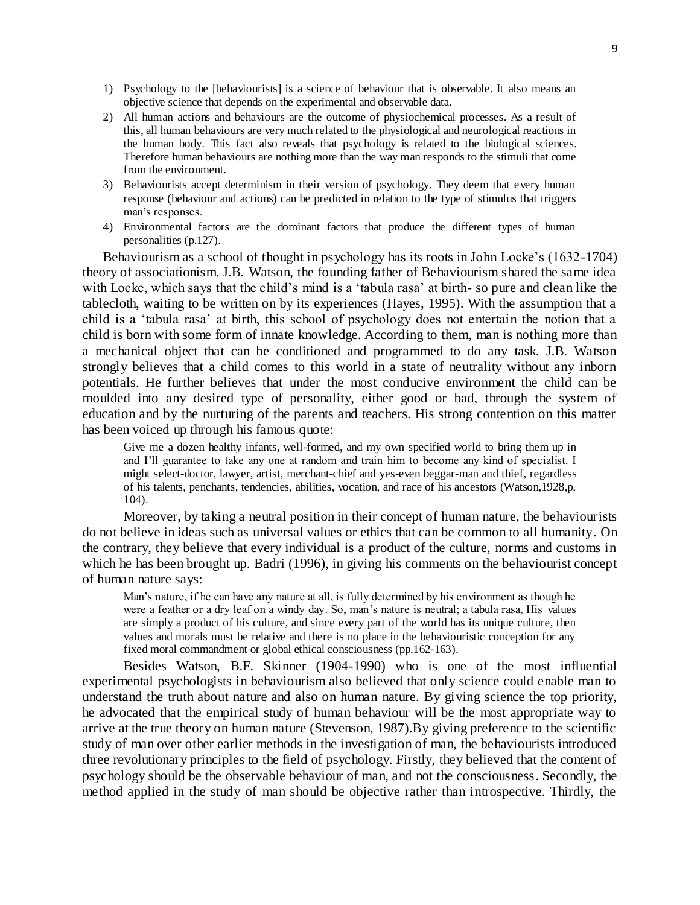- 1) Psychology to the [behaviourists] is a science of behaviour that is observable. It also means an objective science that depends on the experimental and observable data.
- 2) All human actions and behaviours are the outcome of physiochemical processes. As a result of this, all human behaviours are very much related to the physiological and neurological reactions in the human body. This fact also reveals that psychology is related to the biological sciences. Therefore human behaviours are nothing more than the way man responds to the stimuli that come from the environment.
- 3) Behaviourists accept determinism in their version of psychology. They deem that every human response (behaviour and actions) can be predicted in relation to the type of stimulus that triggers man's responses.
- 4) Environmental factors are the dominant factors that produce the different types of human personalities (p.127).

Behaviourism as a school of thought in psychology has its roots in John Locke's (1632-1704) theory of associationism. J.B. Watson, the founding father of Behaviourism shared the same idea with Locke, which says that the child's mind is a 'tabula rasa' at birth- so pure and clean like the tablecloth, waiting to be written on by its experiences (Hayes, 1995). With the assumption that a child is a 'tabula rasa' at birth, this school of psychology does not entertain the notion that a child is born with some form of innate knowledge. According to them, man is nothing more than a mechanical object that can be conditioned and programmed to do any task. J.B. Watson strongly believes that a child comes to this world in a state of neutrality without any inborn potentials. He further believes that under the most conducive environment the child can be moulded into any desired type of personality, either good or bad, through the system of education and by the nurturing of the parents and teachers. His strong contention on this matter has been voiced up through his famous quote:

Give me a dozen healthy infants, well-formed, and my own specified world to bring them up in and I'll guarantee to take any one at random and train him to become any kind of specialist. I might select-doctor, lawyer, artist, merchant-chief and yes-even beggar-man and thief, regardless of his talents, penchants, tendencies, abilities, vocation, and race of his ancestors (Watson,1928,p. 104).

Moreover, by taking a neutral position in their concept of human nature, the behaviourists do not believe in ideas such as universal values or ethics that can be common to all humanity. On the contrary, they believe that every individual is a product of the culture, norms and customs in which he has been brought up. Badri (1996), in giving his comments on the behaviourist concept of human nature says:

Man's nature, if he can have any nature at all, is fully determined by his environment as though he were a feather or a dry leaf on a windy day. So, man's nature is neutral; a tabula rasa, His values are simply a product of his culture, and since every part of the world has its unique culture, then values and morals must be relative and there is no place in the behaviouristic conception for any fixed moral commandment or global ethical consciousness (pp.162-163).

Besides Watson, B.F. Skinner (1904-1990) who is one of the most influential experimental psychologists in behaviourism also believed that only science could enable man to understand the truth about nature and also on human nature. By giving science the top priority, he advocated that the empirical study of human behaviour will be the most appropriate way to arrive at the true theory on human nature (Stevenson, 1987).By giving preference to the scientific study of man over other earlier methods in the investigation of man, the behaviourists introduced three revolutionary principles to the field of psychology. Firstly, they believed that the content of psychology should be the observable behaviour of man, and not the consciousness. Secondly, the method applied in the study of man should be objective rather than introspective. Thirdly, the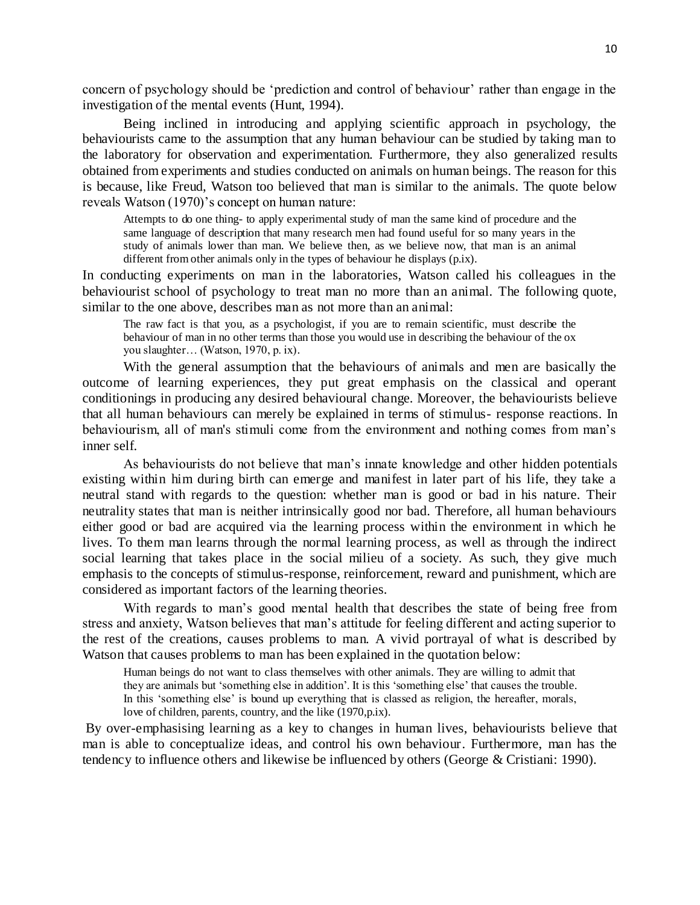concern of psychology should be 'prediction and control of behaviour' rather than engage in the investigation of the mental events (Hunt, 1994).

Being inclined in introducing and applying scientific approach in psychology, the behaviourists came to the assumption that any human behaviour can be studied by taking man to the laboratory for observation and experimentation. Furthermore, they also generalized results obtained from experiments and studies conducted on animals on human beings. The reason for this is because, like Freud, Watson too believed that man is similar to the animals. The quote below reveals Watson (1970)'s concept on human nature:

Attempts to do one thing- to apply experimental study of man the same kind of procedure and the same language of description that many research men had found useful for so many years in the study of animals lower than man. We believe then, as we believe now, that man is an animal different from other animals only in the types of behaviour he displays (p.ix).

In conducting experiments on man in the laboratories, Watson called his colleagues in the behaviourist school of psychology to treat man no more than an animal. The following quote, similar to the one above, describes man as not more than an animal:

The raw fact is that you, as a psychologist, if you are to remain scientific, must describe the behaviour of man in no other terms than those you would use in describing the behaviour of the ox you slaughter… (Watson, 1970, p. ix).

With the general assumption that the behaviours of animals and men are basically the outcome of learning experiences, they put great emphasis on the classical and operant conditionings in producing any desired behavioural change. Moreover, the behaviourists believe that all human behaviours can merely be explained in terms of stimulus- response reactions. In behaviourism, all of man's stimuli come from the environment and nothing comes from man's inner self.

As behaviourists do not believe that man's innate knowledge and other hidden potentials existing within him during birth can emerge and manifest in later part of his life, they take a neutral stand with regards to the question: whether man is good or bad in his nature. Their neutrality states that man is neither intrinsically good nor bad. Therefore, all human behaviours either good or bad are acquired via the learning process within the environment in which he lives. To them man learns through the normal learning process, as well as through the indirect social learning that takes place in the social milieu of a society. As such, they give much emphasis to the concepts of stimulus-response, reinforcement, reward and punishment, which are considered as important factors of the learning theories.

With regards to man's good mental health that describes the state of being free from stress and anxiety, Watson believes that man's attitude for feeling different and acting superior to the rest of the creations, causes problems to man. A vivid portrayal of what is described by Watson that causes problems to man has been explained in the quotation below:

Human beings do not want to class themselves with other animals. They are willing to admit that they are animals but 'something else in addition'. It is this 'something else' that causes the trouble. In this 'something else' is bound up everything that is classed as religion, the hereafter, morals, love of children, parents, country, and the like (1970,p.ix).

By over-emphasising learning as a key to changes in human lives, behaviourists believe that man is able to conceptualize ideas, and control his own behaviour. Furthermore, man has the tendency to influence others and likewise be influenced by others (George & Cristiani: 1990).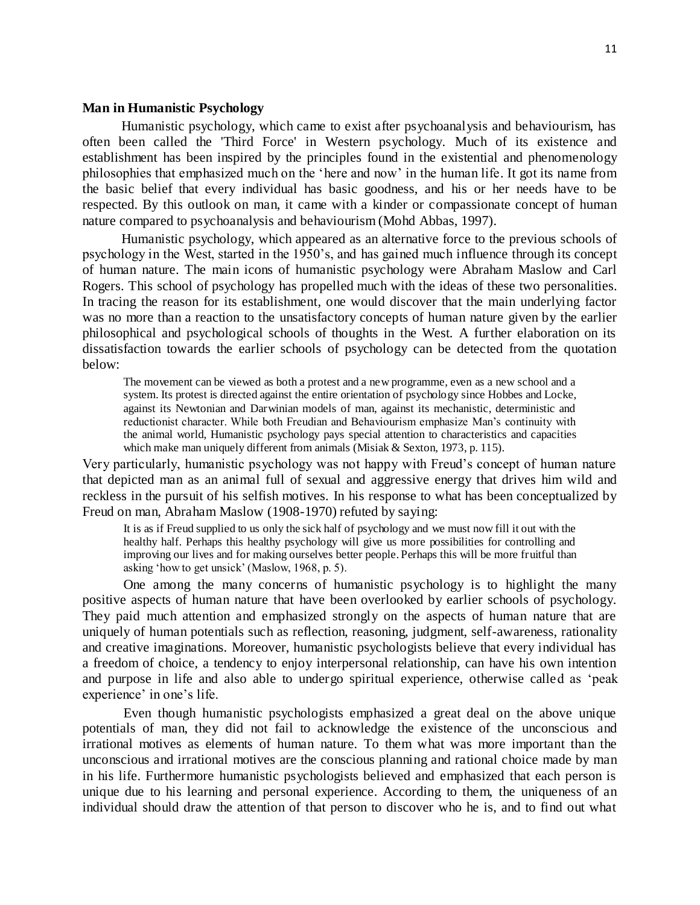## **Man in Humanistic Psychology**

Humanistic psychology, which came to exist after psychoanalysis and behaviourism, has often been called the 'Third Force' in Western psychology. Much of its existence and establishment has been inspired by the principles found in the existential and phenomenology philosophies that emphasized much on the 'here and now' in the human life. It got its name from the basic belief that every individual has basic goodness, and his or her needs have to be respected. By this outlook on man, it came with a kinder or compassionate concept of human nature compared to psychoanalysis and behaviourism (Mohd Abbas, 1997).

Humanistic psychology, which appeared as an alternative force to the previous schools of psychology in the West, started in the 1950's, and has gained much influence through its concept of human nature. The main icons of humanistic psychology were Abraham Maslow and Carl Rogers. This school of psychology has propelled much with the ideas of these two personalities. In tracing the reason for its establishment, one would discover that the main underlying factor was no more than a reaction to the unsatisfactory concepts of human nature given by the earlier philosophical and psychological schools of thoughts in the West. A further elaboration on its dissatisfaction towards the earlier schools of psychology can be detected from the quotation below:

The movement can be viewed as both a protest and a new programme, even as a new school and a system. Its protest is directed against the entire orientation of psychology since Hobbes and Locke, against its Newtonian and Darwinian models of man, against its mechanistic, deterministic and reductionist character. While both Freudian and Behaviourism emphasize Man's continuity with the animal world, Humanistic psychology pays special attention to characteristics and capacities which make man uniquely different from animals (Misiak & Sexton, 1973, p. 115).

Very particularly, humanistic psychology was not happy with Freud's concept of human nature that depicted man as an animal full of sexual and aggressive energy that drives him wild and reckless in the pursuit of his selfish motives. In his response to what has been conceptualized by Freud on man, Abraham Maslow (1908-1970) refuted by saying:

It is as if Freud supplied to us only the sick half of psychology and we must now fill it out with the healthy half. Perhaps this healthy psychology will give us more possibilities for controlling and improving our lives and for making ourselves better people. Perhaps this will be more fruitful than asking 'how to get unsick' (Maslow, 1968, p. 5).

One among the many concerns of humanistic psychology is to highlight the many positive aspects of human nature that have been overlooked by earlier schools of psychology. They paid much attention and emphasized strongly on the aspects of human nature that are uniquely of human potentials such as reflection, reasoning, judgment, self-awareness, rationality and creative imaginations. Moreover, humanistic psychologists believe that every individual has a freedom of choice, a tendency to enjoy interpersonal relationship, can have his own intention and purpose in life and also able to undergo spiritual experience, otherwise called as 'peak experience' in one's life.

Even though humanistic psychologists emphasized a great deal on the above unique potentials of man, they did not fail to acknowledge the existence of the unconscious and irrational motives as elements of human nature. To them what was more important than the unconscious and irrational motives are the conscious planning and rational choice made by man in his life. Furthermore humanistic psychologists believed and emphasized that each person is unique due to his learning and personal experience. According to them, the uniqueness of an individual should draw the attention of that person to discover who he is, and to find out what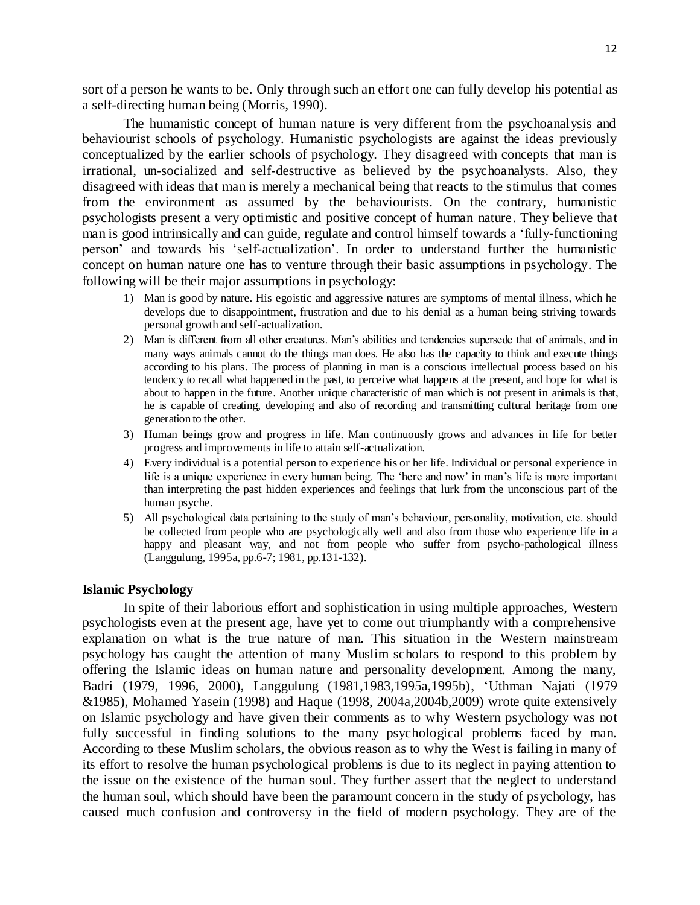sort of a person he wants to be. Only through such an effort one can fully develop his potential as a self-directing human being (Morris, 1990).

The humanistic concept of human nature is very different from the psychoanalysis and behaviourist schools of psychology. Humanistic psychologists are against the ideas previously conceptualized by the earlier schools of psychology. They disagreed with concepts that man is irrational, un-socialized and self-destructive as believed by the psychoanalysts. Also, they disagreed with ideas that man is merely a mechanical being that reacts to the stimulus that comes from the environment as assumed by the behaviourists. On the contrary, humanistic psychologists present a very optimistic and positive concept of human nature. They believe that man is good intrinsically and can guide, regulate and control himself towards a 'fully-functioning person' and towards his 'self-actualization'. In order to understand further the humanistic concept on human nature one has to venture through their basic assumptions in psychology. The following will be their major assumptions in psychology:

- 1) Man is good by nature. His egoistic and aggressive natures are symptoms of mental illness, which he develops due to disappointment, frustration and due to his denial as a human being striving towards personal growth and self-actualization.
- 2) Man is different from all other creatures. Man's abilities and tendencies supersede that of animals, and in many ways animals cannot do the things man does. He also has the capacity to think and execute things according to his plans. The process of planning in man is a conscious intellectual process based on his tendency to recall what happened in the past, to perceive what happens at the present, and hope for what is about to happen in the future. Another unique characteristic of man which is not present in animals is that, he is capable of creating, developing and also of recording and transmitting cultural heritage from one generation to the other.
- 3) Human beings grow and progress in life. Man continuously grows and advances in life for better progress and improvements in life to attain self-actualization.
- 4) Every individual is a potential person to experience his or her life. Individual or personal experience in life is a unique experience in every human being. The 'here and now' in man's life is more important than interpreting the past hidden experiences and feelings that lurk from the unconscious part of the human psyche.
- 5) All psychological data pertaining to the study of man's behaviour, personality, motivation, etc. should be collected from people who are psychologically well and also from those who experience life in a happy and pleasant way, and not from people who suffer from psycho-pathological illness (Langgulung, 1995a, pp.6-7; 1981, pp.131-132).

#### **Islamic Psychology**

In spite of their laborious effort and sophistication in using multiple approaches, Western psychologists even at the present age, have yet to come out triumphantly with a comprehensive explanation on what is the true nature of man. This situation in the Western mainstream psychology has caught the attention of many Muslim scholars to respond to this problem by offering the Islamic ideas on human nature and personality development. Among the many, Badri (1979, 1996, 2000), Langgulung (1981,1983,1995a,1995b), 'Uthman Najati (1979 &1985), Mohamed Yasein (1998) and Haque (1998, 2004a,2004b,2009) wrote quite extensively on Islamic psychology and have given their comments as to why Western psychology was not fully successful in finding solutions to the many psychological problems faced by man. According to these Muslim scholars, the obvious reason as to why the West is failing in many of its effort to resolve the human psychological problems is due to its neglect in paying attention to the issue on the existence of the human soul. They further assert that the neglect to understand the human soul, which should have been the paramount concern in the study of psychology, has caused much confusion and controversy in the field of modern psychology. They are of the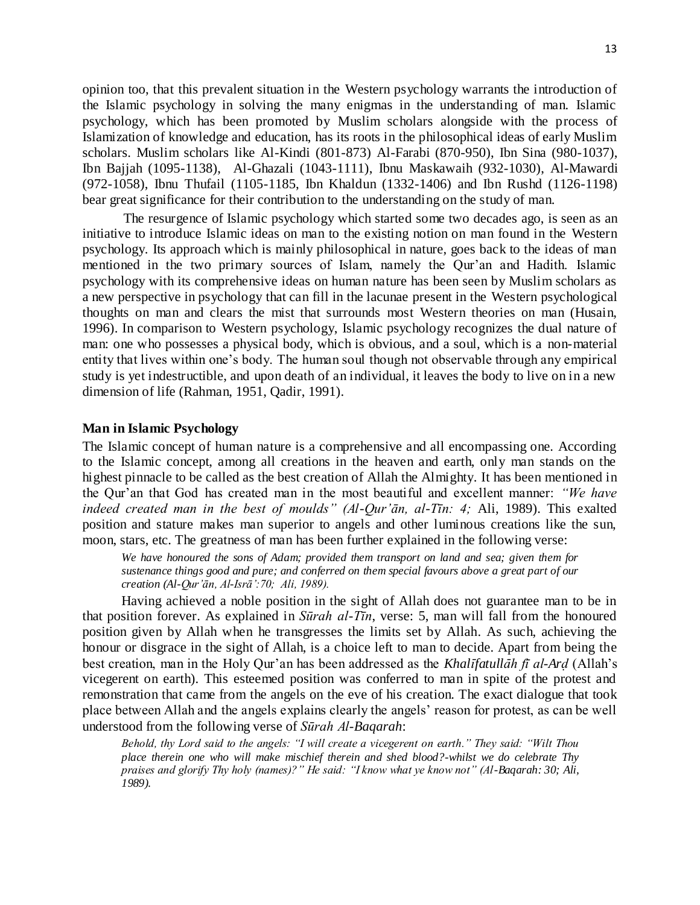13

opinion too, that this prevalent situation in the Western psychology warrants the introduction of the Islamic psychology in solving the many enigmas in the understanding of man. Islamic psychology, which has been promoted by Muslim scholars alongside with the process of Islamization of knowledge and education, has its roots in the philosophical ideas of early Muslim scholars. Muslim scholars like Al-Kindi (801-873) Al-Farabi (870-950), Ibn Sina (980-1037), Ibn Bajjah (1095-1138), Al-Ghazali (1043-1111), Ibnu Maskawaih (932-1030), Al-Mawardi (972-1058), Ibnu Thufail (1105-1185, Ibn Khaldun (1332-1406) and Ibn Rushd (1126-1198) bear great significance for their contribution to the understanding on the study of man.

The resurgence of Islamic psychology which started some two decades ago, is seen as an initiative to introduce Islamic ideas on man to the existing notion on man found in the Western psychology. Its approach which is mainly philosophical in nature, goes back to the ideas of man mentioned in the two primary sources of Islam, namely the Qur'an and Hadith. Islamic psychology with its comprehensive ideas on human nature has been seen by Muslim scholars as a new perspective in psychology that can fill in the lacunae present in the Western psychological thoughts on man and clears the mist that surrounds most Western theories on man (Husain, 1996). In comparison to Western psychology, Islamic psychology recognizes the dual nature of man: one who possesses a physical body, which is obvious, and a soul, which is a non-material entity that lives within one's body. The human soul though not observable through any empirical study is yet indestructible, and upon death of an individual, it leaves the body to live on in a new dimension of life (Rahman, 1951, Qadir, 1991).

## **Man in Islamic Psychology**

The Islamic concept of human nature is a comprehensive and all encompassing one. According to the Islamic concept, among all creations in the heaven and earth, only man stands on the highest pinnacle to be called as the best creation of Allah the Almighty. It has been mentioned in the Qur'an that God has created man in the most beautiful and excellent manner: *"We have indeed created man in the best of moulds" (Al-Qur'ān, al-Tīn: 4;* Ali, 1989). This exalted position and stature makes man superior to angels and other luminous creations like the sun, moon, stars, etc. The greatness of man has been further explained in the following verse:

*We have honoured the sons of Adam; provided them transport on land and sea; given them for sustenance things good and pure; and conferred on them special favours above a great part of our creation (Al-Qur'ān, Al-Isrā':70; Ali, 1989).*

Having achieved a noble position in the sight of Allah does not guarantee man to be in that position forever. As explained in *Sūrah al-Tīn*, verse: 5, man will fall from the honoured position given by Allah when he transgresses the limits set by Allah. As such, achieving the honour or disgrace in the sight of Allah, is a choice left to man to decide. Apart from being the best creation, man in the Holy Qur'an has been addressed as the *KhalÊfatullÉh fī al-ArÌ* (Allah's vicegerent on earth). This esteemed position was conferred to man in spite of the protest and remonstration that came from the angels on the eve of his creation. The exact dialogue that took place between Allah and the angels explains clearly the angels' reason for protest, as can be well understood from the following verse of *Sūrah Al-Baqarah*:

*Behold, thy Lord said to the angels: "I will create a vicegerent on earth." They said: "Wilt Thou place therein one who will make mischief therein and shed blood?-whilst we do celebrate Thy praises and glorify Thy holy (names)?" He said: "I know what ye know not" (Al-Baqarah: 30; Ali, 1989).*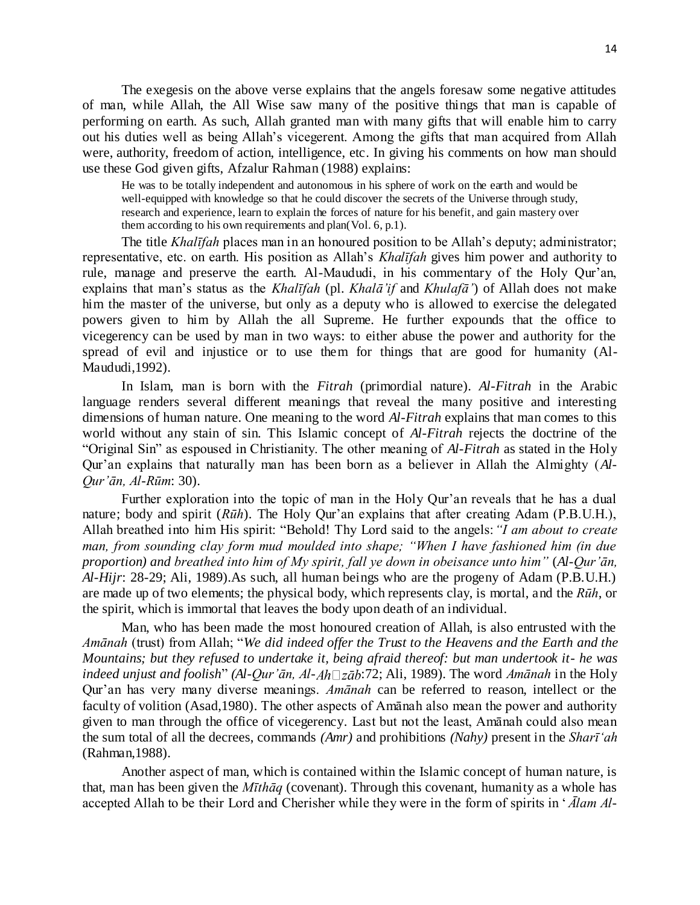The exegesis on the above verse explains that the angels foresaw some negative attitudes of man, while Allah, the All Wise saw many of the positive things that man is capable of performing on earth. As such, Allah granted man with many gifts that will enable him to carry out his duties well as being Allah's vicegerent. Among the gifts that man acquired from Allah were, authority, freedom of action, intelligence, etc. In giving his comments on how man should use these God given gifts, Afzalur Rahman (1988) explains:

He was to be totally independent and autonomous in his sphere of work on the earth and would be well-equipped with knowledge so that he could discover the secrets of the Universe through study, research and experience, learn to explain the forces of nature for his benefit, and gain mastery over them according to his own requirements and plan(Vol. 6, p.1).

The title *Khalīfah* places man in an honoured position to be Allah's deputy; administrator; representative, etc. on earth. His position as Allah's *Khalīfah* gives him power and authority to rule, manage and preserve the earth. Al-Maududi, in his commentary of the Holy Qur'an, explains that man's status as the *Khalīfah* (pl. *Khalā'if* and *Khulafā'*) of Allah does not make him the master of the universe, but only as a deputy who is allowed to exercise the delegated powers given to him by Allah the all Supreme. He further expounds that the office to vicegerency can be used by man in two ways: to either abuse the power and authority for the spread of evil and injustice or to use them for things that are good for humanity (Al-Maududi,1992).

In Islam, man is born with the *Fitrah* (primordial nature). *Al-Fitrah* in the Arabic language renders several different meanings that reveal the many positive and interesting dimensions of human nature. One meaning to the word *Al-Fitrah* explains that man comes to this world without any stain of sin. This Islamic concept of *Al-Fitrah* rejects the doctrine of the "Original Sin" as espoused in Christianity. The other meaning of *Al-Fitrah* as stated in the Holy Qur'an explains that naturally man has been born as a believer in Allah the Almighty (*Al-Qur'ān, Al-Rūm*: 30).

Further exploration into the topic of man in the Holy Qur'an reveals that he has a dual nature; body and spirit (*Rūh*). The Holy Qur'an explains that after creating Adam (P.B.U.H.), Allah breathed into him His spirit: "Behold! Thy Lord said to the angels:*"I am about to create man, from sounding clay form mud moulded into shape; "When I have fashioned him (in due proportion) and breathed into him of My spirit, fall ye down in obeisance unto him"* (*Al-Qur'ān, Al-Hijr*: 28-29; Ali, 1989).As such, all human beings who are the progeny of Adam (P.B.U.H.) are made up of two elements; the physical body, which represents clay, is mortal, and the *Rūh*, or the spirit, which is immortal that leaves the body upon death of an individual.

Man, who has been made the most honoured creation of Allah, is also entrusted with the *Amānah* (trust) from Allah; "*We did indeed offer the Trust to the Heavens and the Earth and the Mountains; but they refused to undertake it, being afraid thereof: but man undertook it- he was indeed unjust and foolish*" *(Al-Qur'ān, Al-Ah* $\Box$ *zāb*:72; Ali, 1989). The word *Amānah* in the Holy Qur'an has very many diverse meanings. *Amānah* can be referred to reason, intellect or the faculty of volition (Asad,1980). The other aspects of Amānah also mean the power and authority given to man through the office of vicegerency. Last but not the least, Amānah could also mean the sum total of all the decrees, commands *(Amr)* and prohibitions *(Nahy)* present in the *Sharī'ah* (Rahman,1988).

Another aspect of man, which is contained within the Islamic concept of human nature, is that, man has been given the *Mīthāq* (covenant). Through this covenant, humanity as a whole has accepted Allah to be their Lord and Cherisher while they were in the form of spirits in '*Ālam Al-*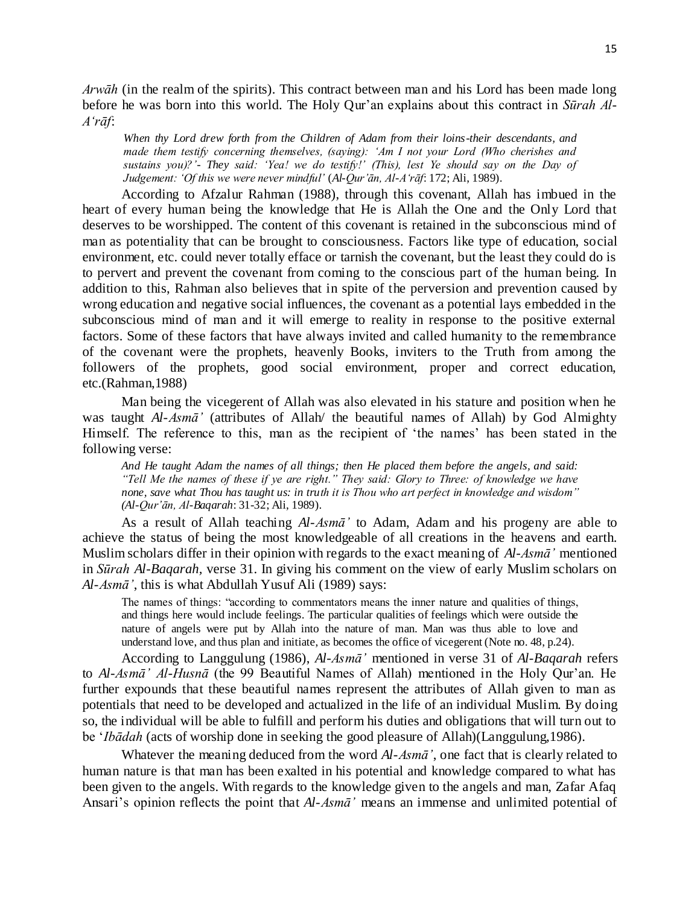*Arwāh* (in the realm of the spirits). This contract between man and his Lord has been made long before he was born into this world. The Holy Qur'an explains about this contract in *Sūrah Al-A'rāf*:

*When thy Lord drew forth from the Children of Adam from their loins-their descendants, and made them testify concerning themselves, (saying): 'Am I not your Lord (Who cherishes and sustains you)?'- They said: 'Yea! we do testify!' (This), lest Ye should say on the Day of Judgement: 'Of this we were never mindful'* (*Al-Qur'ān, Al-A'rāf*: 172; Ali, 1989).

According to Afzalur Rahman (1988), through this covenant, Allah has imbued in the heart of every human being the knowledge that He is Allah the One and the Only Lord that deserves to be worshipped. The content of this covenant is retained in the subconscious mind of man as potentiality that can be brought to consciousness. Factors like type of education, social environment, etc. could never totally efface or tarnish the covenant, but the least they could do is to pervert and prevent the covenant from coming to the conscious part of the human being. In addition to this, Rahman also believes that in spite of the perversion and prevention caused by wrong education and negative social influences, the covenant as a potential lays embedded in the subconscious mind of man and it will emerge to reality in response to the positive external factors. Some of these factors that have always invited and called humanity to the remembrance of the covenant were the prophets, heavenly Books, inviters to the Truth from among the followers of the prophets, good social environment, proper and correct education, etc.(Rahman,1988)

Man being the vicegerent of Allah was also elevated in his stature and position when he was taught *Al-Asmā'* (attributes of Allah/ the beautiful names of Allah) by God Almighty Himself. The reference to this, man as the recipient of 'the names' has been stated in the following verse:

*And He taught Adam the names of all things; then He placed them before the angels, and said: "Tell Me the names of these if ye are right." They said: Glory to Three: of knowledge we have none, save what Thou has taught us: in truth it is Thou who art perfect in knowledge and wisdom" (Al-Qur'ān, Al-Baqarah*: 31-32; Ali, 1989).

As a result of Allah teaching *Al-Asmā'* to Adam, Adam and his progeny are able to achieve the status of being the most knowledgeable of all creations in the heavens and earth. Muslim scholars differ in their opinion with regards to the exact meaning of *Al-Asmā'* mentioned in *Sūrah Al-Baqarah,* verse 31. In giving his comment on the view of early Muslim scholars on *Al-Asmā'*, this is what Abdullah Yusuf Ali (1989) says:

The names of things: "according to commentators means the inner nature and qualities of things, and things here would include feelings. The particular qualities of feelings which were outside the nature of angels were put by Allah into the nature of man. Man was thus able to love and understand love, and thus plan and initiate, as becomes the office of vicegerent (Note no. 48, p.24).

According to Langgulung (1986), *Al-Asmā'* mentioned in verse 31 of *Al-Baqarah* refers to *Al-Asmā' Al-Husnā* (the 99 Beautiful Names of Allah) mentioned in the Holy Qur'an. He further expounds that these beautiful names represent the attributes of Allah given to man as potentials that need to be developed and actualized in the life of an individual Muslim. By doing so, the individual will be able to fulfill and perform his duties and obligations that will turn out to be '*Ibādah* (acts of worship done in seeking the good pleasure of Allah)(Langgulung,1986).

Whatever the meaning deduced from the word *Al-Asmā'*, one fact that is clearly related to human nature is that man has been exalted in his potential and knowledge compared to what has been given to the angels. With regards to the knowledge given to the angels and man, Zafar Afaq Ansari's opinion reflects the point that *Al-Asmā'* means an immense and unlimited potential of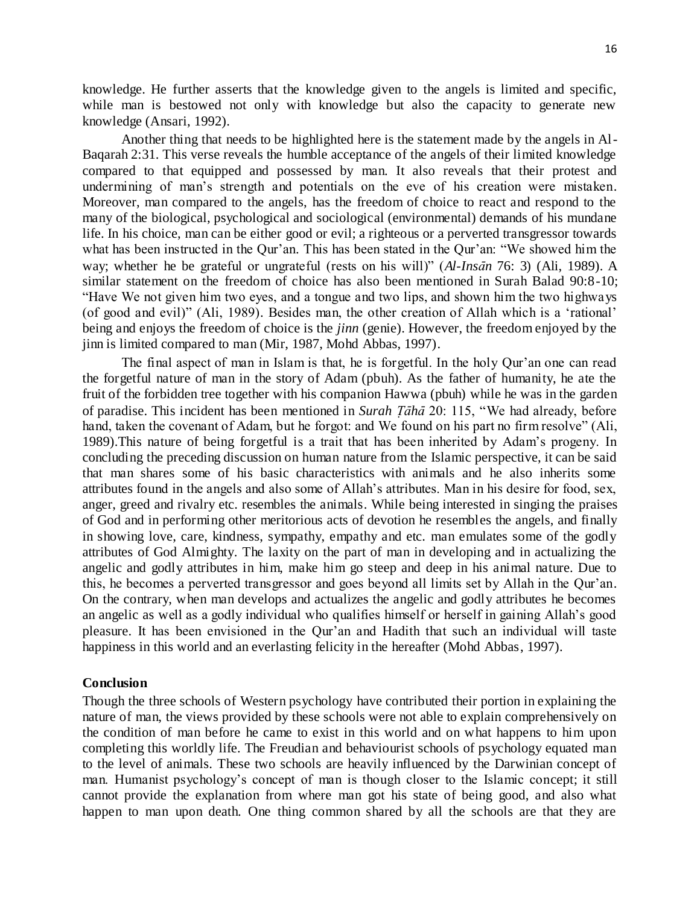knowledge. He further asserts that the knowledge given to the angels is limited and specific, while man is bestowed not only with knowledge but also the capacity to generate new knowledge (Ansari, 1992).

Another thing that needs to be highlighted here is the statement made by the angels in Al-Baqarah 2:31. This verse reveals the humble acceptance of the angels of their limited knowledge compared to that equipped and possessed by man. It also reveals that their protest and undermining of man's strength and potentials on the eve of his creation were mistaken. Moreover, man compared to the angels, has the freedom of choice to react and respond to the many of the biological, psychological and sociological (environmental) demands of his mundane life. In his choice, man can be either good or evil; a righteous or a perverted transgressor towards what has been instructed in the Qur'an. This has been stated in the Qur'an: "We showed him the way; whether he be grateful or ungrateful (rests on his will)" (*Al-Insān* 76: 3) (Ali, 1989). A similar statement on the freedom of choice has also been mentioned in Surah Balad 90:8-10; "Have We not given him two eyes, and a tongue and two lips, and shown him the two highways (of good and evil)" (Ali, 1989). Besides man, the other creation of Allah which is a 'rational' being and enjoys the freedom of choice is the *jinn* (genie). However, the freedom enjoyed by the jinn is limited compared to man (Mir, 1987, Mohd Abbas, 1997).

The final aspect of man in Islam is that, he is forgetful. In the holy Qur'an one can read the forgetful nature of man in the story of Adam (pbuh). As the father of humanity, he ate the fruit of the forbidden tree together with his companion Hawwa (pbuh) while he was in the garden of paradise. This incident has been mentioned in *Surah Tāhā* 20: 115, "We had already, before hand, taken the covenant of Adam, but he forgot: and We found on his part no firm resolve" (Ali, 1989).This nature of being forgetful is a trait that has been inherited by Adam's progeny. In concluding the preceding discussion on human nature from the Islamic perspective, it can be said that man shares some of his basic characteristics with animals and he also inherits some attributes found in the angels and also some of Allah's attributes. Man in his desire for food, sex, anger, greed and rivalry etc. resembles the animals. While being interested in singing the praises of God and in performing other meritorious acts of devotion he resembles the angels, and finally in showing love, care, kindness, sympathy, empathy and etc. man emulates some of the godly attributes of God Almighty. The laxity on the part of man in developing and in actualizing the angelic and godly attributes in him, make him go steep and deep in his animal nature. Due to this, he becomes a perverted transgressor and goes beyond all limits set by Allah in the Qur'an. On the contrary, when man develops and actualizes the angelic and godly attributes he becomes an angelic as well as a godly individual who qualifies himself or herself in gaining Allah's good pleasure. It has been envisioned in the Qur'an and Hadith that such an individual will taste happiness in this world and an everlasting felicity in the hereafter (Mohd Abbas, 1997).

## **Conclusion**

Though the three schools of Western psychology have contributed their portion in explaining the nature of man, the views provided by these schools were not able to explain comprehensively on the condition of man before he came to exist in this world and on what happens to him upon completing this worldly life. The Freudian and behaviourist schools of psychology equated man to the level of animals. These two schools are heavily influenced by the Darwinian concept of man. Humanist psychology's concept of man is though closer to the Islamic concept; it still cannot provide the explanation from where man got his state of being good, and also what happen to man upon death. One thing common shared by all the schools are that they are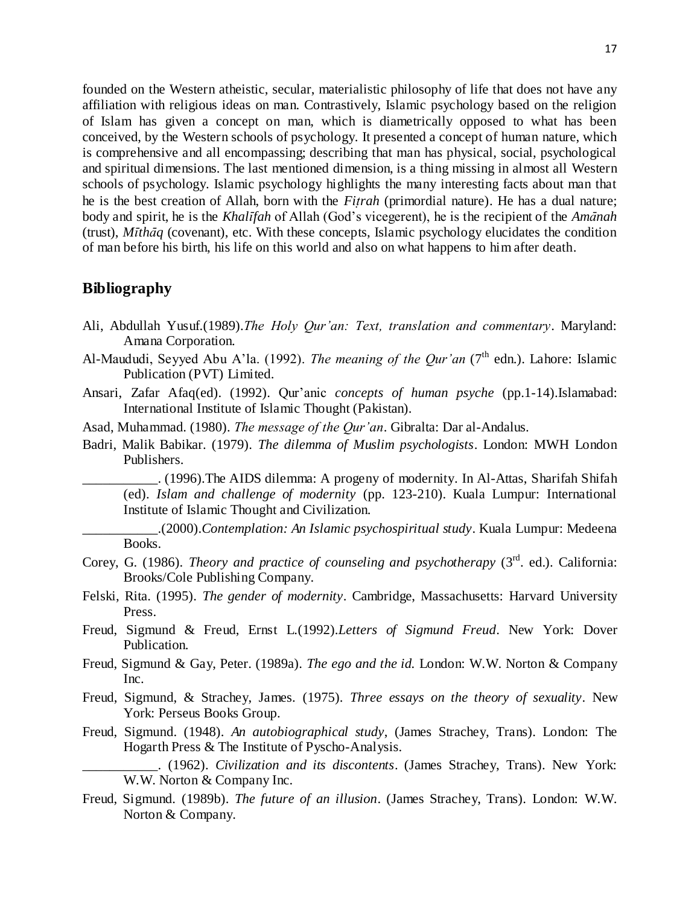founded on the Western atheistic, secular, materialistic philosophy of life that does not have any affiliation with religious ideas on man. Contrastively, Islamic psychology based on the religion of Islam has given a concept on man, which is diametrically opposed to what has been conceived, by the Western schools of psychology. It presented a concept of human nature, which is comprehensive and all encompassing; describing that man has physical, social, psychological and spiritual dimensions. The last mentioned dimension, is a thing missing in almost all Western schools of psychology. Islamic psychology highlights the many interesting facts about man that he is the best creation of Allah, born with the *Fitrah* (primordial nature). He has a dual nature; body and spirit, he is the *KhalÊfah* of Allah (God's vicegerent), he is the recipient of the *AmÉnah* (trust), *M* $\bar{t}$ *thãq* (covenant), etc. With these concepts, Islamic psychology elucidates the condition of man before his birth, his life on this world and also on what happens to him after death.

# **Bibliography**

- Ali, Abdullah Yusuf.(1989).*The Holy Qur'an: Text, translation and commentary*. Maryland: Amana Corporation.
- Al-Maududi, Seyyed Abu A'la. (1992). *The meaning of the Our'an* (7<sup>th</sup> edn.). Lahore: Islamic Publication (PVT) Limited.
- Ansari, Zafar Afaq(ed). (1992). Qur'anic *concepts of human psyche* (pp.1-14).Islamabad: International Institute of Islamic Thought (Pakistan).
- Asad, Muhammad. (1980). *The message of the Qur'an*. Gibralta: Dar al-Andalus.
- Badri, Malik Babikar. (1979). *The dilemma of Muslim psychologists*. London: MWH London Publishers.

\_\_\_\_\_\_\_\_\_\_\_. (1996).The AIDS dilemma: A progeny of modernity. In Al-Attas, Sharifah Shifah (ed). *Islam and challenge of modernity* (pp. 123-210). Kuala Lumpur: International Institute of Islamic Thought and Civilization.

\_\_\_\_\_\_\_\_\_\_\_.(2000).*Contemplation: An Islamic psychospiritual study*. Kuala Lumpur: Medeena Books.

- Corey, G. (1986). *Theory and practice of counseling and psychotherapy* (3<sup>rd</sup>. ed.). California: Brooks/Cole Publishing Company.
- Felski, Rita. (1995). *The gender of modernity*. Cambridge, Massachusetts: Harvard University Press.
- Freud, Sigmund & Freud, Ernst L.(1992).*Letters of Sigmund Freud*. New York: Dover Publication.
- Freud, Sigmund & Gay, Peter. (1989a). *The ego and the id.* London: W.W. Norton & Company Inc.
- Freud, Sigmund, & Strachey, James. (1975). *Three essays on the theory of sexuality*. New York: Perseus Books Group.
- Freud, Sigmund. (1948). *An autobiographical study*, (James Strachey, Trans). London: The Hogarth Press & The Institute of Pyscho-Analysis.

\_\_\_\_\_\_\_\_\_\_\_. (1962). *Civilization and its discontents*. (James Strachey, Trans). New York: W.W. Norton & Company Inc.

Freud, Sigmund. (1989b). *The future of an illusion*. (James Strachey, Trans). London: W.W. Norton & Company.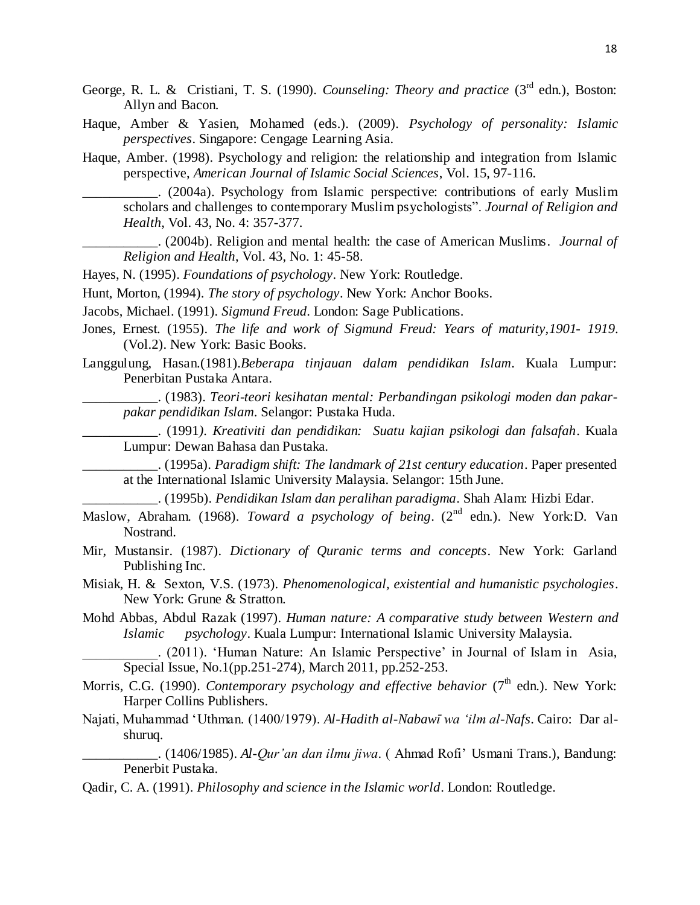- George, R. L. & Cristiani, T. S. (1990). *Counseling: Theory and practice* (3<sup>rd</sup> edn.), Boston: Allyn and Bacon.
- Haque, Amber & Yasien, Mohamed (eds.). (2009). *Psychology of personality: Islamic perspectives*. Singapore: Cengage Learning Asia.
- Haque, Amber. (1998). Psychology and religion: the relationship and integration from Islamic perspective, *American Journal of Islamic Social Sciences*, Vol. 15, 97-116.

\_\_\_\_\_\_\_\_\_\_\_. (2004a). Psychology from Islamic perspective: contributions of early Muslim scholars and challenges to contemporary Muslim psychologists". *Journal of Religion and Health*, Vol. 43, No. 4: 357-377.

\_\_\_\_\_\_\_\_\_\_\_. (2004b). Religion and mental health: the case of American Muslims. *Journal of Religion and Health*, Vol. 43, No. 1: 45-58.

Hayes, N. (1995). *Foundations of psychology*. New York: Routledge.

Hunt, Morton, (1994). *The story of psychology*. New York: Anchor Books.

Jacobs, Michael. (1991). *Sigmund Freud*. London: Sage Publications.

- Jones, Ernest. (1955). *The life and work of Sigmund Freud: Years of maturity,1901- 1919*. (Vol.2). New York: Basic Books.
- Langgulung, Hasan.(1981).*Beberapa tinjauan dalam pendidikan Islam*. Kuala Lumpur: Penerbitan Pustaka Antara.

\_\_\_\_\_\_\_\_\_\_\_. (1983). *Teori-teori kesihatan mental: Perbandingan psikologi moden dan pakarpakar pendidikan Islam*. Selangor: Pustaka Huda.

\_\_\_\_\_\_\_\_\_\_\_. (1991*). Kreativiti dan pendidikan: Suatu kajian psikologi dan falsafah*. Kuala Lumpur: Dewan Bahasa dan Pustaka.

\_\_\_\_\_\_\_\_\_\_\_. (1995a). *Paradigm shift: The landmark of 21st century education*. Paper presented at the International Islamic University Malaysia. Selangor: 15th June.

\_\_\_\_\_\_\_\_\_\_\_. (1995b). *Pendidikan Islam dan peralihan paradigma*. Shah Alam: Hizbi Edar.

- Maslow, Abraham. (1968). *Toward a psychology of being.* (2<sup>nd</sup> edn.). New York:D. Van Nostrand.
- Mir, Mustansir. (1987). *Dictionary of Quranic terms and concepts*. New York: Garland Publishing Inc.
- Misiak, H. & Sexton, V.S. (1973). *Phenomenological, existential and humanistic psychologies*. New York: Grune & Stratton.
- Mohd Abbas, Abdul Razak (1997). *Human nature: A comparative study between Western and Islamic psychology*. Kuala Lumpur: International Islamic University Malaysia.

\_\_\_\_\_\_\_\_\_\_\_. (2011). 'Human Nature: An Islamic Perspective' in Journal of Islam in Asia, Special Issue, No.1(pp.251-274), March 2011, pp.252-253.

- Morris, C.G. (1990). *Contemporary psychology and effective behavior* (7<sup>th</sup> edn.). New York: Harper Collins Publishers.
- Najati, Muhammad 'Uthman. (1400/1979). *Al-Hadith al-NabawÊ wa 'ilm al-Nafs*. Cairo: Dar alshuruq.

\_\_\_\_\_\_\_\_\_\_\_. (1406/1985). *Al-Qur'an dan ilmu jiwa*. ( Ahmad Rofi' Usmani Trans.), Bandung: Penerbit Pustaka.

Qadir, C. A. (1991). *Philosophy and science in the Islamic world*. London: Routledge.